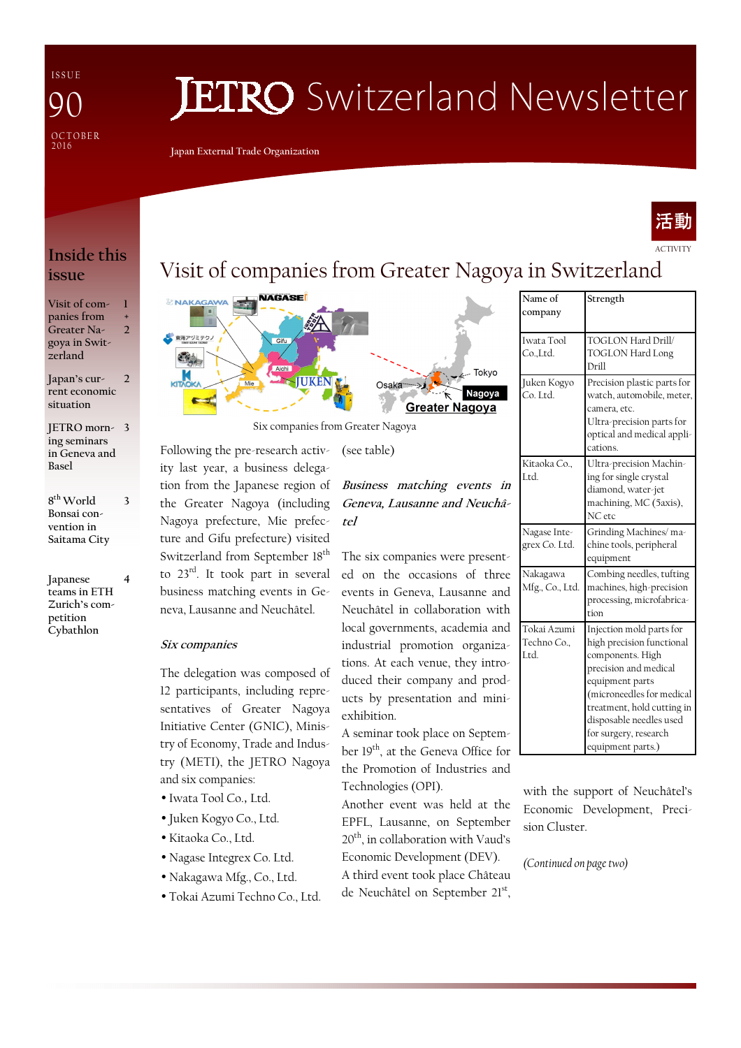I S S U E **OCTOBER** 2016  $\boldsymbol{\mathsf{Q}}$ 

# **JETRO** Switzerland Newsletter

**Japan External Trade Organization** 



ACTIVITY

### **Inside this issue**

**Visit of companies from Greater Nagoya in Switzerland 1 + 2** 

**Japan's current economic situation**   $\overline{\phantom{a}}$ 

**JETRO morn-3 ing seminars in Geneva and Basel** 

**8 th World Bonsai convention in Saitama City** 

**3** 

**Japanese teams in ETH Zurich's competition Cybathlon 4** 

# Visit of companies from Greater Nagoya in Switzerland



Six companies from Greater Nagoya

(see table)

Following the pre-research activity last year, a business delegation from the Japanese region of the Greater Nagoya (including Nagoya prefecture, Mie prefecture and Gifu prefecture) visited Switzerland from September 18<sup>th</sup> to 23rd. It took part in several business matching events in Ge-

### **Six companies**

The delegation was composed of 12 participants, including representatives of Greater Nagoya Initiative Center (GNIC), Ministry of Economy, Trade and Industry (METI), the JETRO Nagoya and six companies:

neva, Lausanne and Neuchâtel.

- Iwata Tool Co.,Ltd.
- Juken Kogyo Co., Ltd.
- Kitaoka Co., Ltd.
- Nagase Integrex Co. Ltd.
- Nakagawa Mfg., Co., Ltd.
- Tokai Azumi Techno Co., Ltd.



The six companies were presented on the occasions of three events in Geneva, Lausanne and Neuchâtel in collaboration with local governments, academia and industrial promotion organizations. At each venue, they introduced their company and products by presentation and miniexhibition.

A seminar took place on September 19<sup>th</sup>, at the Geneva Office for the Promotion of Industries and Technologies (OPI).

Another event was held at the EPFL, Lausanne, on September 20<sup>th</sup>, in collaboration with Vaud's Economic Development (DEV).

A third event took place Château de Neuchâtel on September 21st,

| Name of<br>company               | Strength                                                                                                                                                                                                                                                  |
|----------------------------------|-----------------------------------------------------------------------------------------------------------------------------------------------------------------------------------------------------------------------------------------------------------|
| Iwata Tool<br>Co.,Ltd.           | TOGLON Hard Drill/<br><b>TOGLON Hard Long</b><br>Drill                                                                                                                                                                                                    |
| Juken Kogyo<br>Co. Ltd.          | Precision plastic parts for<br>watch, automobile, meter,<br>camera, etc.<br>Ultra-precision parts for<br>optical and medical appli-<br>cations.                                                                                                           |
| Kitaoka Co<br>Ltd.               | Ultra-precision Machin-<br>ing for single crystal<br>diamond, water-jet<br>machining, MC (5axis),<br>NC etc                                                                                                                                               |
| Nagase Inte-<br>grex Co. Ltd.    | Grinding Machines/ma-<br>chine tools, peripheral<br>equipment                                                                                                                                                                                             |
| Nakagawa<br>Mfg., Co., Ltd.      | Combing needles, tufting<br>machines, high-precision<br>processing, microfabrica-<br>tion                                                                                                                                                                 |
| Tokai Azumi<br>Techno Co<br>Ltd. | Injection mold parts for<br>high precision functional<br>components. High<br>precision and medical<br>equipment parts<br>(microneedles for medical<br>treatment, hold cutting in<br>disposable needles used<br>for surgery, research<br>equipment parts.) |

with the support of Neuchâtel's Economic Development, Precision Cluster.

*(Continued on page two)*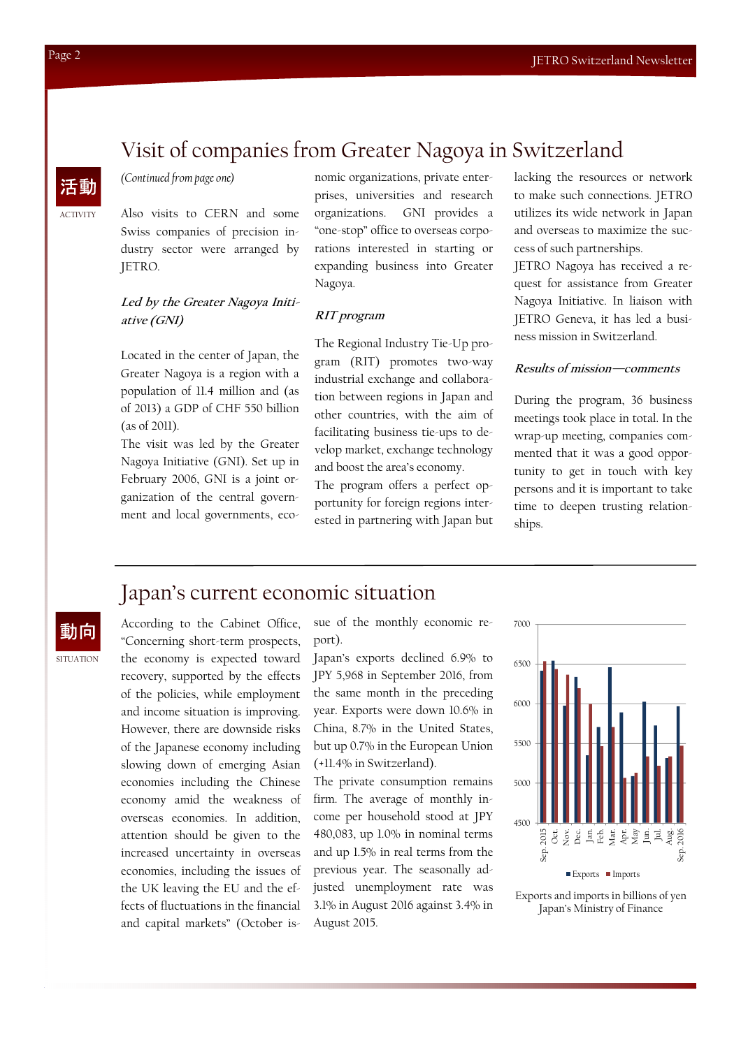## Visit of companies from Greater Nagoya in Switzerland

### *(Continued from page one)*

Also visits to CERN and some Swiss companies of precision industry sector were arranged by JETRO.

### **Led by the Greater Nagoya Initiative (GNI)**

Located in the center of Japan, the Greater Nagoya is a region with a population of 11.4 million and (as of 2013) a GDP of CHF 550 billion (as of 2011).

The visit was led by the Greater Nagoya Initiative (GNI). Set up in February 2006, GNI is a joint organization of the central government and local governments, economic organizations, private enterprises, universities and research organizations. GNI provides a "one-stop" office to overseas corporations interested in starting or expanding business into Greater Nagoya.

#### **RIT program**

The Regional Industry Tie-Up program (RIT) promotes two-way industrial exchange and collaboration between regions in Japan and other countries, with the aim of facilitating business tie-ups to develop market, exchange technology and boost the area's economy.

The program offers a perfect opportunity for foreign regions interested in partnering with Japan but lacking the resources or network to make such connections. JETRO utilizes its wide network in Japan and overseas to maximize the success of such partnerships.

JETRO Nagoya has received a request for assistance from Greater Nagoya Initiative. In liaison with JETRO Geneva, it has led a business mission in Switzerland.

#### **Results of mission—comments**

During the program, 36 business meetings took place in total. In the wrap-up meeting, companies commented that it was a good opportunity to get in touch with key persons and it is important to take time to deepen trusting relationships.

### Japan's current economic situation

動向

SITUATION

According to the Cabinet Office, "Concerning short-term prospects, the economy is expected toward recovery, supported by the effects of the policies, while employment and income situation is improving. However, there are downside risks of the Japanese economy including slowing down of emerging Asian economies including the Chinese economy amid the weakness of overseas economies. In addition, attention should be given to the increased uncertainty in overseas economies, including the issues of the UK leaving the EU and the effects of fluctuations in the financial and capital markets" (October is-

sue of the monthly economic report).

Japan's exports declined 6.9% to JPY 5,968 in September 2016, from the same month in the preceding year. Exports were down 10.6% in China, 8.7% in the United States, but up 0.7% in the European Union (+11.4% in Switzerland).

The private consumption remains firm. The average of monthly income per household stood at JPY 480,083, up 1.0% in nominal terms and up 1.5% in real terms from the previous year. The seasonally adjusted unemployment rate was 3.1% in August 2016 against 3.4% in August 2015.





ACTIVITY

活動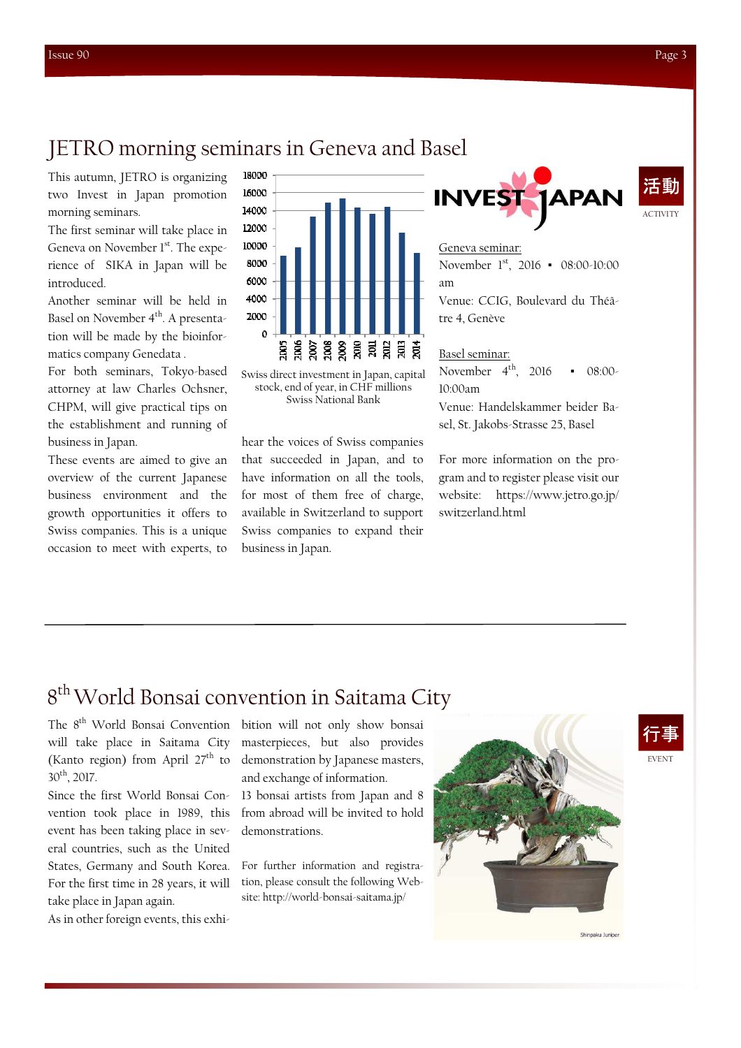### JETRO morning seminars in Geneva and Basel

This autumn, JETRO is organizing two Invest in Japan promotion morning seminars.

The first seminar will take place in Geneva on November  $1<sup>st</sup>$ . The experience of SIKA in Japan will be introduced.

Another seminar will be held in Basel on November 4<sup>th</sup>. A presentation will be made by the bioinformatics company Genedata .

For both seminars, Tokyo-based attorney at law Charles Ochsner, CHPM, will give practical tips on the establishment and running of business in Japan.

These events are aimed to give an overview of the current Japanese business environment and the growth opportunities it offers to Swiss companies. This is a unique occasion to meet with experts, to



Swiss direct investment in Japan, capital stock, end of year, in CHF millions Swiss National Bank

hear the voices of Swiss companies that succeeded in Japan, and to have information on all the tools, for most of them free of charge, available in Switzerland to support Swiss companies to expand their business in Japan.



#### Geneva seminar:

November 1st, 2016 • 08:00-10:00 am Venue: CCIG, Boulevard du Théâtre 4, Genève

#### Basel seminar:

November  $4^{th}$ , 2016 • 08:00-10:00am

Venue: Handelskammer beider Basel, St. Jakobs-Strasse 25, Basel

For more information on the program and to register please visit our website: https://www.jetro.go.jp/ switzerland.html

# 8<sup>th</sup> World Bonsai convention in Saitama City

will take place in Saitama City (Kanto region) from April  $27<sup>th</sup>$  to 30th, 2017.

Since the first World Bonsai Convention took place in 1989, this event has been taking place in several countries, such as the United States, Germany and South Korea. For the first time in 28 years, it will take place in Japan again.

As in other foreign events, this exhi-

The 8<sup>th</sup> World Bonsai Convention bition will not only show bonsai masterpieces, but also provides demonstration by Japanese masters, and exchange of information.

> 13 bonsai artists from Japan and 8 from abroad will be invited to hold demonstrations.

> For further information and registration, please consult the following Website: http://world-bonsai-saitama.jp/





Shinnaku Tunine